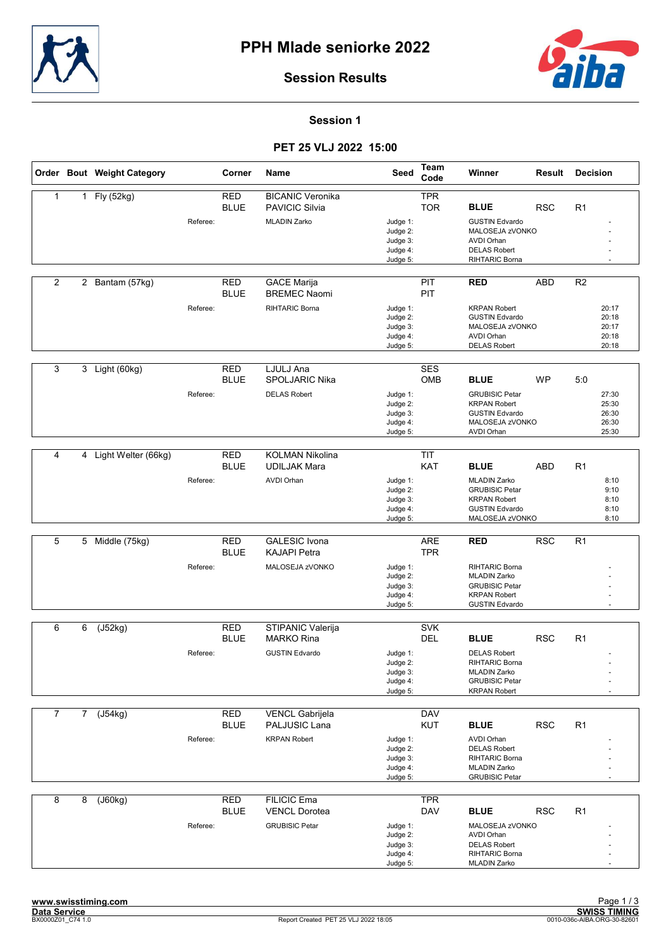



Session 1

## PET 25 VLJ 2022 15:00

|                |                | Order Bout Weight Category |          | Corner                    | Name                                        | Seed                 | <b>Team</b><br>Code      | Winner                                       | Result     | <b>Decision</b> |
|----------------|----------------|----------------------------|----------|---------------------------|---------------------------------------------|----------------------|--------------------------|----------------------------------------------|------------|-----------------|
| $\mathbf{1}$   | 1              | Fly (52kg)                 |          | <b>RED</b>                | <b>BICANIC Veronika</b>                     |                      | <b>TPR</b>               |                                              |            |                 |
|                |                |                            |          | <b>BLUE</b>               | <b>PAVICIC Silvia</b>                       |                      | <b>TOR</b>               | <b>BLUE</b>                                  | <b>RSC</b> | R <sub>1</sub>  |
|                |                |                            | Referee: |                           | <b>MLADIN Zarko</b>                         | Judge 1:             |                          | <b>GUSTIN Edvardo</b>                        |            |                 |
|                |                |                            |          |                           |                                             | Judge 2:             |                          | MALOSEJA zVONKO                              |            |                 |
|                |                |                            |          |                           |                                             | Judge 3:             |                          | <b>AVDI Orhan</b>                            |            |                 |
|                |                |                            |          |                           |                                             | Judge 4:<br>Judge 5: |                          | <b>DELAS Robert</b><br>RIHTARIC Borna        |            |                 |
|                |                |                            |          |                           |                                             |                      |                          |                                              |            |                 |
| 2              |                | 2 Bantam (57kg)            |          | <b>RED</b>                | <b>GACE Marija</b>                          |                      | PIT                      | <b>RED</b>                                   | ABD        | R <sub>2</sub>  |
|                |                |                            |          | <b>BLUE</b>               | <b>BREMEC Naomi</b>                         |                      | PIT                      |                                              |            |                 |
|                |                |                            | Referee: |                           | RIHTARIC Borna                              |                      |                          | <b>KRPAN Robert</b>                          |            |                 |
|                |                |                            |          |                           |                                             | Judge 1:<br>Judge 2: |                          | <b>GUSTIN Edvardo</b>                        |            | 20:17<br>20:18  |
|                |                |                            |          |                           |                                             | Judge 3:             |                          | MALOSEJA zVONKO                              |            | 20:17           |
|                |                |                            |          |                           |                                             | Judge 4:             |                          | <b>AVDI Orhan</b>                            |            | 20:18           |
|                |                |                            |          |                           |                                             | Judge 5:             |                          | <b>DELAS Robert</b>                          |            | 20:18           |
|                |                |                            |          |                           |                                             |                      |                          |                                              |            |                 |
| 3              | 3              | Light (60kg)               |          | <b>RED</b>                | LJULJ Ana                                   |                      | <b>SES</b>               |                                              |            |                 |
|                |                |                            |          | <b>BLUE</b>               | SPOLJARIC Nika                              |                      | OMB                      | <b>BLUE</b>                                  | <b>WP</b>  | 5:0             |
|                |                |                            | Referee: |                           | <b>DELAS Robert</b>                         | Judge 1:             |                          | <b>GRUBISIC Petar</b>                        |            | 27:30           |
|                |                |                            |          |                           |                                             | Judge 2:             |                          | <b>KRPAN Robert</b>                          |            | 25:30           |
|                |                |                            |          |                           |                                             | Judge 3:<br>Judge 4: |                          | <b>GUSTIN Edvardo</b><br>MALOSEJA zVONKO     |            | 26:30<br>26:30  |
|                |                |                            |          |                           |                                             | Judge 5:             |                          | <b>AVDI Orhan</b>                            |            | 25:30           |
|                |                |                            |          |                           |                                             |                      |                          |                                              |            |                 |
| 4              | 4              | Light Welter (66kg)        |          | <b>RED</b>                | <b>KOLMAN Nikolina</b>                      |                      | <b>TIT</b>               |                                              |            |                 |
|                |                |                            |          | <b>BLUE</b>               | <b>UDILJAK Mara</b>                         |                      | <b>KAT</b>               | <b>BLUE</b>                                  | <b>ABD</b> | R1              |
|                |                |                            | Referee: |                           | <b>AVDI Orhan</b>                           | Judge 1:             |                          | <b>MLADIN Zarko</b>                          |            | 8:10            |
|                |                |                            |          |                           |                                             | Judge 2:             |                          | <b>GRUBISIC Petar</b>                        |            | 9:10            |
|                |                |                            |          |                           |                                             | Judge 3:             |                          | <b>KRPAN Robert</b>                          |            | 8:10            |
|                |                |                            |          |                           |                                             | Judge 4:             |                          | <b>GUSTIN Edvardo</b>                        |            | 8:10            |
|                |                |                            |          |                           |                                             | Judge 5:             |                          | MALOSEJA zVONKO                              |            | 8:10            |
| 5              |                |                            |          |                           |                                             |                      |                          |                                              |            |                 |
|                | 5              | Middle (75kg)              |          | <b>RED</b><br><b>BLUE</b> | <b>GALESIC Ivona</b><br><b>KAJAPI Petra</b> |                      | <b>ARE</b><br><b>TPR</b> | <b>RED</b>                                   | <b>RSC</b> | R1              |
|                |                |                            |          |                           |                                             |                      |                          |                                              |            |                 |
|                |                |                            | Referee: |                           | MALOSEJA zVONKO                             | Judge 1:             |                          | RIHTARIC Borna<br><b>MLADIN Zarko</b>        |            |                 |
|                |                |                            |          |                           |                                             | Judge 2:<br>Judge 3: |                          | <b>GRUBISIC Petar</b>                        |            |                 |
|                |                |                            |          |                           |                                             | Judge 4:             |                          | <b>KRPAN Robert</b>                          |            |                 |
|                |                |                            |          |                           |                                             | Judge 5:             |                          | <b>GUSTIN Edvardo</b>                        |            |                 |
|                |                |                            |          |                           |                                             |                      |                          |                                              |            |                 |
| 6              | 6              | (J52kg)                    |          | <b>RED</b>                | STIPANIC Valerija                           |                      | <b>SVK</b>               |                                              |            |                 |
|                |                |                            |          | <b>BLUE</b>               | <b>MARKO Rina</b>                           |                      | <b>DEL</b>               | <b>BLUE</b>                                  | <b>RSC</b> | R <sub>1</sub>  |
|                |                |                            | Referee: |                           | <b>GUSTIN Edvardo</b>                       | Judge 1:             |                          | <b>DELAS Robert</b>                          |            |                 |
|                |                |                            |          |                           |                                             | Judge 2:             |                          | RIHTARIC Borna                               |            |                 |
|                |                |                            |          |                           |                                             | Judge 3:<br>Judge 4: |                          | <b>MLADIN Zarko</b><br><b>GRUBISIC Petar</b> |            |                 |
|                |                |                            |          |                           |                                             | Judge 5:             |                          | <b>KRPAN Robert</b>                          |            |                 |
|                |                |                            |          |                           |                                             |                      |                          |                                              |            |                 |
| $\overline{7}$ | $\overline{7}$ | (J54kg)                    |          | RED                       | <b>VENCL Gabrijela</b>                      |                      | <b>DAV</b>               |                                              |            |                 |
|                |                |                            |          | <b>BLUE</b>               | PALJUSIC Lana                               |                      | <b>KUT</b>               | <b>BLUE</b>                                  | <b>RSC</b> | R <sub>1</sub>  |
|                |                |                            | Referee: |                           | <b>KRPAN Robert</b>                         | Judge 1:             |                          | <b>AVDI Orhan</b>                            |            |                 |
|                |                |                            |          |                           |                                             | Judge 2:             |                          | <b>DELAS Robert</b>                          |            |                 |
|                |                |                            |          |                           |                                             | Judge 3:<br>Judge 4: |                          | RIHTARIC Borna<br><b>MLADIN Zarko</b>        |            |                 |
|                |                |                            |          |                           |                                             | Judge 5:             |                          | <b>GRUBISIC Petar</b>                        |            |                 |
|                |                |                            |          |                           |                                             |                      |                          |                                              |            |                 |
| 8              | 8              | (J60kg)                    |          | RED                       | <b>FILICIC Ema</b>                          |                      | <b>TPR</b>               |                                              |            |                 |
|                |                |                            |          | <b>BLUE</b>               | <b>VENCL Dorotea</b>                        |                      | <b>DAV</b>               | <b>BLUE</b>                                  | <b>RSC</b> | R <sub>1</sub>  |
|                |                |                            | Referee: |                           | <b>GRUBISIC Petar</b>                       | Judge 1:             |                          | MALOSEJA zVONKO                              |            |                 |
|                |                |                            |          |                           |                                             | Judge 2:             |                          | <b>AVDI Orhan</b>                            |            |                 |
|                |                |                            |          |                           |                                             | Judge 3:<br>Judge 4: |                          | <b>DELAS Robert</b><br>RIHTARIC Borna        |            |                 |
|                |                |                            |          |                           |                                             | Judge 5:             |                          | <b>MLADIN Zarko</b>                          |            |                 |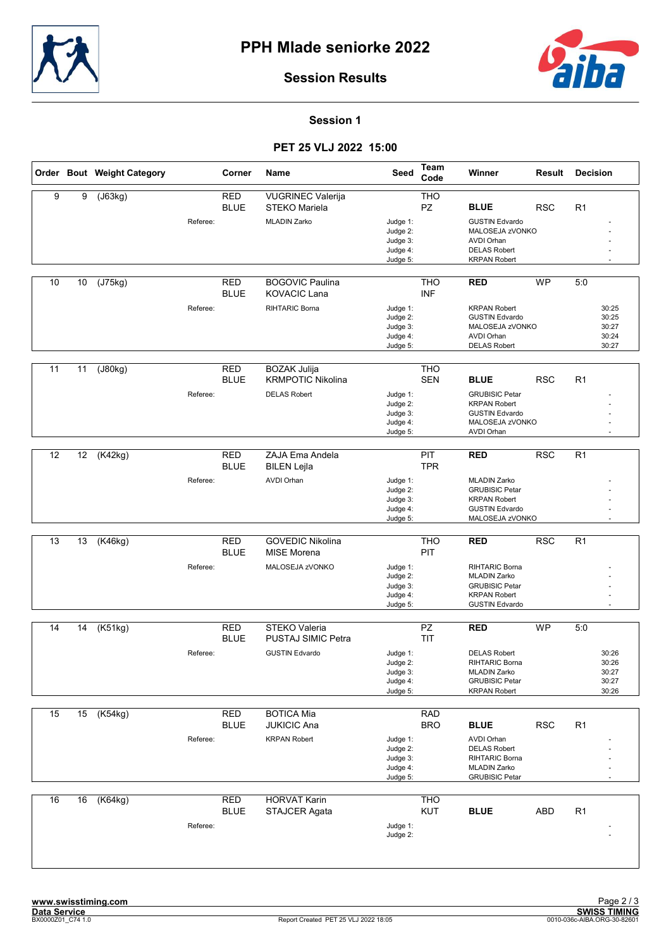



#### Session 1

## PET 25 VLJ 2022 15:00

|    |    | Order Bout Weight Category |          | Corner                    | Name                                                                   | Seed                                                     | Team<br>Code             | Winner                                                                                                                        | Result     | <b>Decision</b>                                  |
|----|----|----------------------------|----------|---------------------------|------------------------------------------------------------------------|----------------------------------------------------------|--------------------------|-------------------------------------------------------------------------------------------------------------------------------|------------|--------------------------------------------------|
| 9  | 9  | (J63kg)                    | Referee: | <b>RED</b><br><b>BLUE</b> | <b>VUGRINEC Valerija</b><br>STEKO Mariela<br><b>MLADIN Zarko</b>       | Judge 1:<br>Judge 2:<br>Judge 3:<br>Judge 4:<br>Judge 5: | <b>THO</b><br>PZ         | <b>BLUE</b><br><b>GUSTIN Edvardo</b><br>MALOSEJA zVONKO<br><b>AVDI Orhan</b><br><b>DELAS Robert</b><br><b>KRPAN Robert</b>    | <b>RSC</b> | R1                                               |
| 10 | 10 | (J75kg)                    | Referee: | RED<br><b>BLUE</b>        | <b>BOGOVIC Paulina</b><br><b>KOVACIC Lana</b><br>RIHTARIC Borna        | Judge 1:<br>Judge 2:<br>Judge 3:<br>Judge 4:<br>Judge 5: | <b>THO</b><br><b>INF</b> | <b>RED</b><br><b>KRPAN Robert</b><br><b>GUSTIN Edvardo</b><br>MALOSEJA zVONKO<br><b>AVDI Orhan</b><br><b>DELAS Robert</b>     | WP         | 5:0<br>30:25<br>30:25<br>30:27<br>30:24<br>30:27 |
| 11 | 11 | (J80kg)                    | Referee: | RED<br><b>BLUE</b>        | <b>BOZAK Julija</b><br><b>KRMPOTIC Nikolina</b><br><b>DELAS Robert</b> | Judge 1:<br>Judge 2:<br>Judge 3:<br>Judge 4:<br>Judge 5: | <b>THO</b><br><b>SEN</b> | <b>BLUE</b><br><b>GRUBISIC Petar</b><br><b>KRPAN Robert</b><br><b>GUSTIN Edvardo</b><br>MALOSEJA zVONKO<br><b>AVDI Orhan</b>  | <b>RSC</b> | R1                                               |
| 12 | 12 | (K42kg)                    | Referee: | <b>RED</b><br><b>BLUE</b> | ZAJA Ema Andela<br><b>BILEN Lejla</b><br><b>AVDI Orhan</b>             | Judge 1:<br>Judge 2:<br>Judge 3:<br>Judge 4:<br>Judge 5: | PIT<br><b>TPR</b>        | <b>RED</b><br><b>MLADIN Zarko</b><br><b>GRUBISIC Petar</b><br><b>KRPAN Robert</b><br><b>GUSTIN Edvardo</b><br>MALOSEJA zVONKO | <b>RSC</b> | R1                                               |
| 13 | 13 | (K46kg)                    | Referee: | <b>RED</b><br><b>BLUE</b> | <b>GOVEDIC Nikolina</b><br><b>MISE Morena</b><br>MALOSEJA zVONKO       | Judge 1:<br>Judge 2:<br>Judge 3:<br>Judge 4:<br>Judge 5: | <b>THO</b><br>PIT        | <b>RED</b><br>RIHTARIC Borna<br><b>MLADIN Zarko</b><br><b>GRUBISIC Petar</b><br><b>KRPAN Robert</b><br><b>GUSTIN Edvardo</b>  | <b>RSC</b> | R1                                               |
| 14 | 14 | (K51kg)                    | Referee: | <b>RED</b><br><b>BLUE</b> | STEKO Valeria<br>PUSTAJ SIMIC Petra<br><b>GUSTIN Edvardo</b>           | Judge 1:<br>Judge 2:<br>Judge 3:<br>Judge 4:<br>Judge 5: | PZ<br><b>TIT</b>         | <b>RED</b><br><b>DELAS Robert</b><br>RIHTARIC Borna<br><b>MLADIN Zarko</b><br><b>GRUBISIC Petar</b><br><b>KRPAN Robert</b>    | <b>WP</b>  | 5:0<br>30:26<br>30:26<br>30:27<br>30:27<br>30:26 |
| 15 | 15 | (K54kg)                    | Referee: | <b>RED</b><br><b>BLUE</b> | <b>BOTICA Mia</b><br><b>JUKICIC Ana</b><br><b>KRPAN Robert</b>         | Judge 1:<br>Judge 2:<br>Judge 3:<br>Judge 4:<br>Judge 5: | <b>RAD</b><br><b>BRO</b> | <b>BLUE</b><br><b>AVDI Orhan</b><br><b>DELAS Robert</b><br>RIHTARIC Borna<br><b>MLADIN Zarko</b><br><b>GRUBISIC Petar</b>     | <b>RSC</b> | R <sub>1</sub>                                   |
| 16 | 16 | (K64kg)                    | Referee: | <b>RED</b><br><b>BLUE</b> | <b>HORVAT Karin</b><br>STAJCER Agata                                   | Judge 1:<br>Judge 2:                                     | <b>THO</b><br>KUT        | <b>BLUE</b>                                                                                                                   | <b>ABD</b> | R <sub>1</sub>                                   |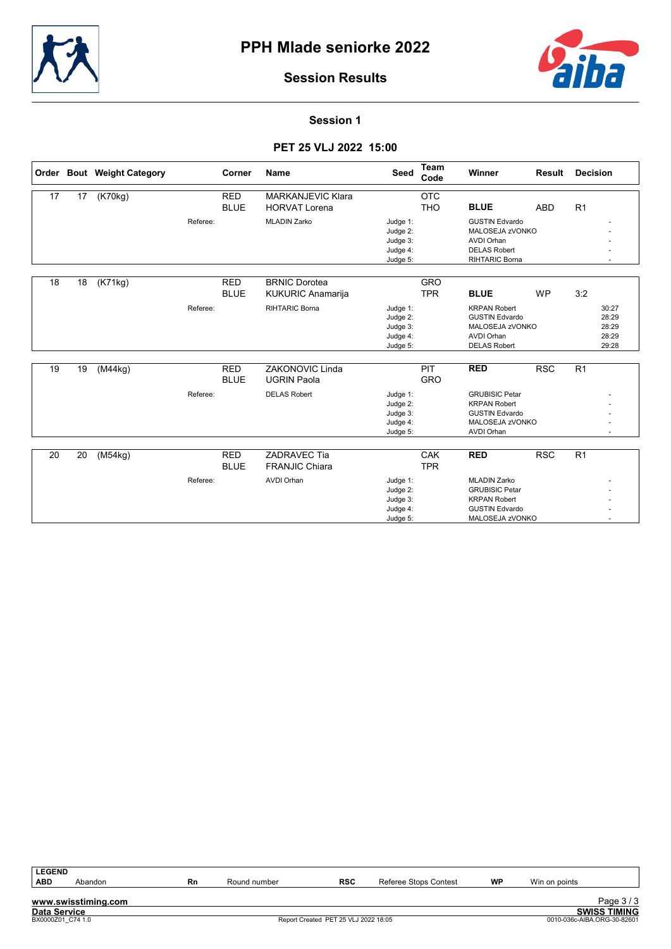



#### Session 1

### PET 25 VLJ 2022 15:00

|    |    | Order Bout Weight Category |          | Corner                    | <b>Name</b>                                      | <b>Seed</b>                                              | <b>Team</b><br>Code      | Winner                                                                                                          | Result     | <b>Decision</b>                           |
|----|----|----------------------------|----------|---------------------------|--------------------------------------------------|----------------------------------------------------------|--------------------------|-----------------------------------------------------------------------------------------------------------------|------------|-------------------------------------------|
| 17 | 17 | (K70kg)                    |          | <b>RED</b><br><b>BLUE</b> | <b>MARKANJEVIC Klara</b><br><b>HORVAT Lorena</b> |                                                          | <b>OTC</b><br><b>THO</b> | <b>BLUE</b>                                                                                                     | <b>ABD</b> | R <sub>1</sub>                            |
|    |    |                            | Referee: |                           | <b>MLADIN Zarko</b>                              | Judge 1:<br>Judge 2:<br>Judge 3:<br>Judge 4:<br>Judge 5: |                          | <b>GUSTIN Edvardo</b><br>MALOSEJA zVONKO<br><b>AVDI Orhan</b><br><b>DELAS Robert</b><br>RIHTARIC Borna          |            |                                           |
| 18 | 18 | (K71kg)                    |          | <b>RED</b><br><b>BLUE</b> | <b>BRNIC Dorotea</b><br><b>KUKURIC Anamarija</b> |                                                          | <b>GRO</b><br><b>TPR</b> | <b>BLUE</b>                                                                                                     | <b>WP</b>  | 3:2                                       |
|    |    |                            | Referee: |                           | <b>RIHTARIC Borna</b>                            | Judge 1:<br>Judge 2:<br>Judge 3:<br>Judge 4:<br>Judge 5: |                          | <b>KRPAN Robert</b><br><b>GUSTIN Edvardo</b><br>MALOSEJA zVONKO<br><b>AVDI Orhan</b><br><b>DELAS Robert</b>     |            | 30:27<br>28:29<br>28:29<br>28:29<br>29:28 |
| 19 | 19 | (M44kg)                    |          | <b>RED</b><br><b>BLUE</b> | <b>ZAKONOVIC Linda</b><br><b>UGRIN Paola</b>     |                                                          | PIT<br><b>GRO</b>        | <b>RED</b>                                                                                                      | <b>RSC</b> | R1                                        |
|    |    |                            | Referee: |                           | <b>DELAS Robert</b>                              | Judge 1:<br>Judge 2:<br>Judge 3:<br>Judge 4:<br>Judge 5: |                          | <b>GRUBISIC Petar</b><br><b>KRPAN Robert</b><br><b>GUSTIN Edvardo</b><br>MALOSEJA zVONKO<br>AVDI Orhan          |            |                                           |
| 20 | 20 | (M54kg)                    |          | <b>RED</b><br><b>BLUE</b> | ZADRAVEC Tia<br><b>FRANJIC Chiara</b>            |                                                          | <b>CAK</b><br><b>TPR</b> | <b>RED</b>                                                                                                      | <b>RSC</b> | R1                                        |
|    |    |                            | Referee: |                           | <b>AVDI Orhan</b>                                | Judge 1:<br>Judge 2:<br>Judge 3:<br>Judge 4:<br>Judge 5: |                          | <b>MLADIN Zarko</b><br><b>GRUBISIC Petar</b><br><b>KRPAN Robert</b><br><b>GUSTIN Edvardo</b><br>MALOSEJA zVONKO |            |                                           |

| l LEGEND            |                     |    |              |                                      |                       |           |               |                             |
|---------------------|---------------------|----|--------------|--------------------------------------|-----------------------|-----------|---------------|-----------------------------|
| <b>ABD</b>          | Abandon             | Rn | Round number | <b>RSC</b>                           | Referee Stops Contest | <b>WP</b> | Win on points |                             |
|                     |                     |    |              |                                      |                       |           |               |                             |
|                     | www.swisstiming.com |    |              |                                      |                       |           |               | Page 3/3                    |
| <b>Data Service</b> |                     |    |              |                                      |                       |           |               | <b>SWISS TIMING</b>         |
| BX0000Z01 C74 1.0   |                     |    |              | Report Created PET 25 VLJ 2022 18:05 |                       |           |               | 0010-036c-AIBA.ORG-30-82601 |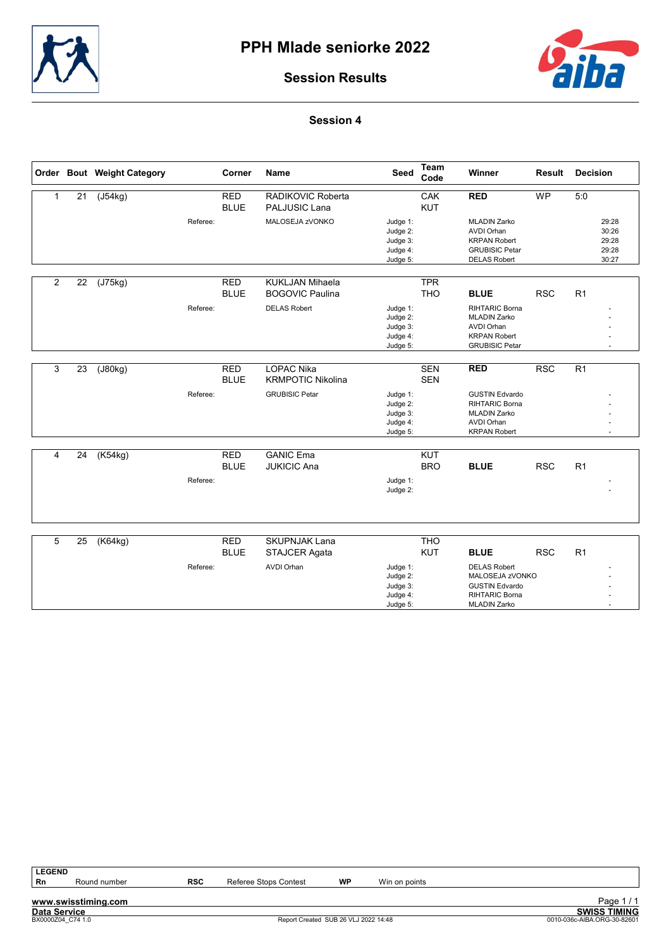



### Session 4

|                |                 | Order Bout Weight Category |          | Corner                    | <b>Name</b>                               | Seed                                                     | <b>Team</b><br>Code | Winner                                                                                                            | <b>Result</b> | <b>Decision</b> |                                           |
|----------------|-----------------|----------------------------|----------|---------------------------|-------------------------------------------|----------------------------------------------------------|---------------------|-------------------------------------------------------------------------------------------------------------------|---------------|-----------------|-------------------------------------------|
| 1              | 21              | $\overline{(J54kg)}$       |          | <b>RED</b><br><b>BLUE</b> | RADIKOVIC Roberta<br><b>PALJUSIC Lana</b> |                                                          | CAK<br><b>KUT</b>   | <b>RED</b>                                                                                                        | <b>WP</b>     | 5:0             |                                           |
|                |                 |                            | Referee: |                           | MALOSEJA zVONKO                           | Judge 1:<br>Judge 2:<br>Judge 3:<br>Judge 4:<br>Judge 5: |                     | <b>MLADIN Zarko</b><br><b>AVDI Orhan</b><br><b>KRPAN Robert</b><br><b>GRUBISIC Petar</b><br><b>DELAS Robert</b>   |               |                 | 29:28<br>30:26<br>29:28<br>29:28<br>30:27 |
| $\overline{2}$ | 22              | (J75kg)                    |          | <b>RED</b>                | <b>KUKLJAN Mihaela</b>                    |                                                          | <b>TPR</b>          |                                                                                                                   |               |                 |                                           |
|                |                 |                            |          | <b>BLUE</b>               | <b>BOGOVIC Paulina</b>                    |                                                          | <b>THO</b>          | <b>BLUE</b>                                                                                                       | <b>RSC</b>    | R1              |                                           |
|                |                 |                            | Referee: |                           | <b>DELAS Robert</b>                       | Judge 1:<br>Judge 2:<br>Judge 3:<br>Judge 4:<br>Judge 5: |                     | <b>RIHTARIC Borna</b><br><b>MLADIN Zarko</b><br><b>AVDI Orhan</b><br><b>KRPAN Robert</b><br><b>GRUBISIC Petar</b> |               |                 |                                           |
| 3              | $\overline{23}$ | (J80kg)                    |          | <b>RED</b>                | <b>LOPAC Nika</b>                         |                                                          | <b>SEN</b>          | <b>RED</b>                                                                                                        | RSC           | R1              |                                           |
|                |                 |                            |          | <b>BLUE</b>               | <b>KRMPOTIC Nikolina</b>                  |                                                          | <b>SEN</b>          |                                                                                                                   |               |                 |                                           |
|                |                 |                            | Referee: |                           | <b>GRUBISIC Petar</b>                     | Judge 1:<br>Judge 2:<br>Judge 3:<br>Judge 4:<br>Judge 5: |                     | <b>GUSTIN Edvardo</b><br><b>RIHTARIC Borna</b><br><b>MLADIN Zarko</b><br><b>AVDI Orhan</b><br><b>KRPAN Robert</b> |               |                 |                                           |
| 4              | 24              | (K54kg)                    |          | <b>RED</b>                | <b>GANIC Ema</b>                          |                                                          | <b>KUT</b>          |                                                                                                                   |               |                 |                                           |
|                |                 |                            |          | <b>BLUE</b>               | <b>JUKICIC Ana</b>                        |                                                          | <b>BRO</b>          | <b>BLUE</b>                                                                                                       | <b>RSC</b>    | R <sub>1</sub>  |                                           |
|                |                 |                            | Referee: |                           |                                           | Judge 1:<br>Judge 2:                                     |                     |                                                                                                                   |               |                 |                                           |
|                |                 |                            |          |                           |                                           |                                                          |                     |                                                                                                                   |               |                 |                                           |
| 5              | 25              | K64kg                      |          | <b>RED</b><br><b>BLUE</b> | <b>SKUPNJAK Lana</b><br>STAJCER Agata     |                                                          | <b>THO</b><br>KUT   | <b>BLUE</b>                                                                                                       | <b>RSC</b>    | R1              |                                           |
|                |                 |                            | Referee: |                           | <b>AVDI Orhan</b>                         | Judge 1:                                                 |                     | <b>DELAS Robert</b>                                                                                               |               |                 |                                           |
|                |                 |                            |          |                           |                                           | Judge 2:<br>Judge 3:                                     |                     | MALOSEJA zVONKO<br><b>GUSTIN Edvardo</b>                                                                          |               |                 |                                           |
|                |                 |                            |          |                           |                                           | Judge 4:<br>Judge 5:                                     |                     | <b>RIHTARIC Borna</b><br><b>MLADIN Zarko</b>                                                                      |               |                 |                                           |

| <b>LEGEND</b>       |                     |            |                                      |           |               |                             |
|---------------------|---------------------|------------|--------------------------------------|-----------|---------------|-----------------------------|
| Rn                  | Round number        | <b>RSC</b> | Referee Stops Contest                | <b>WP</b> | Win on points |                             |
|                     |                     |            |                                      |           |               |                             |
|                     | www.swisstiming.com |            |                                      |           |               | Page 1/1                    |
| <b>Data Service</b> |                     |            |                                      |           |               | <b>SWISS TIMING</b>         |
|                     | BX0000Z04 C74 1.0   |            | Report Created SUB 26 VLJ 2022 14:48 |           |               | 0010-036c-AIBA.ORG-30-82601 |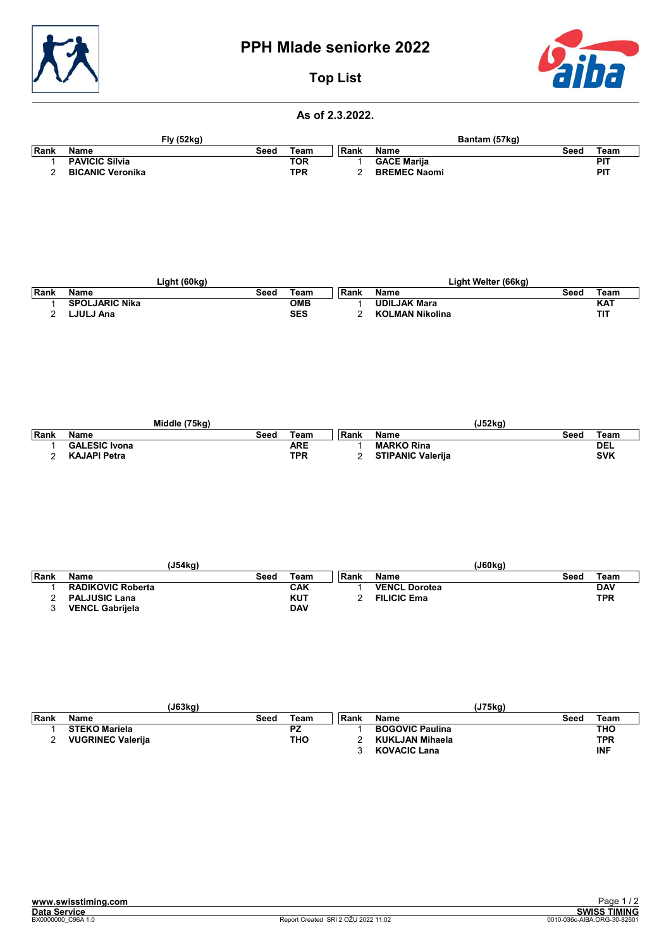

# PPH Mlade seniorke 2022



# Top List

#### As of 2.3.2022.

|      |                         | <b>Fly (52kg)</b> |            |       |                     | Bantam (57kg) |            |
|------|-------------------------|-------------------|------------|-------|---------------------|---------------|------------|
| Rank | Name                    | Seed              | Team       | ∣Rank | <b>Name</b>         | Seed          | Team       |
|      | <b>PAVICIC Silvia</b>   |                   | TOR        |       | <b>GACE Marija</b>  |               | <b>PIT</b> |
|      | <b>BICANIC Veronika</b> |                   | <b>TPR</b> | ີ     | <b>BREMEC Naomi</b> |               | <b>PIT</b> |

|             |                       | Light (60kg) |            |       | Light Welter (66kg)    |      |            |
|-------------|-----------------------|--------------|------------|-------|------------------------|------|------------|
| <b>Rank</b> | Name                  | Seed         | Team       | ∣Rank | Name                   | Seed | Team       |
|             | <b>SPOLJARIC Nika</b> |              | <b>OMB</b> |       | <b>UDILJAK Mara</b>    |      | <b>KAT</b> |
|             | LJULJ Ana             |              | <b>SES</b> |       | <b>KOLMAN Nikolina</b> |      | דוד        |

|       |                      | Middle (75kg) |      |            |       |                          | (J52ka) |      |            |
|-------|----------------------|---------------|------|------------|-------|--------------------------|---------|------|------------|
| ∣Rank | Name                 |               | Seed | Team       | ∣Rank | <b>Name</b>              |         | Seed | Team       |
|       | <b>GALESIC Ivona</b> |               |      | ARE        |       | <b>MARKO Rina</b>        |         |      | <b>DEL</b> |
|       | <b>KAJAPI Petra</b>  |               |      | <b>TPR</b> |       | <b>STIPANIC Valerija</b> |         |      | <b>SVK</b> |

|      | (J54kg)                  |      |            |      | (J60kg)              |      |            |
|------|--------------------------|------|------------|------|----------------------|------|------------|
| Rank | <b>Name</b>              | Seed | ⊤eam       | Rank | Name                 | Seed | Team       |
|      | <b>RADIKOVIC Roberta</b> |      | <b>CAK</b> |      | <b>VENCL Dorotea</b> |      | <b>DAV</b> |
|      | <b>PALJUSIC Lana</b>     |      | KUT        |      | <b>FILICIC Ema</b>   |      | <b>TPR</b> |
|      | <b>VENCL Gabrijela</b>   |      | <b>DAV</b> |      |                      |      |            |

|       |                          | (J63kg) |            |      | (J75kg)                |      |            |
|-------|--------------------------|---------|------------|------|------------------------|------|------------|
| ∣Rank | <b>Name</b>              | Seed    | Team       | Rank | <b>Name</b>            | Seed | Team       |
|       | <b>STEKO Mariela</b>     |         | <b>PZ</b>  |      | <b>BOGOVIC Paulina</b> |      | THO        |
|       | <b>VUGRINEC Valerija</b> |         | <b>THO</b> |      | KUKLJAN Mihaela        |      | TPR        |
|       |                          |         |            |      | <b>KOVACIC Lana</b>    |      | <b>INF</b> |